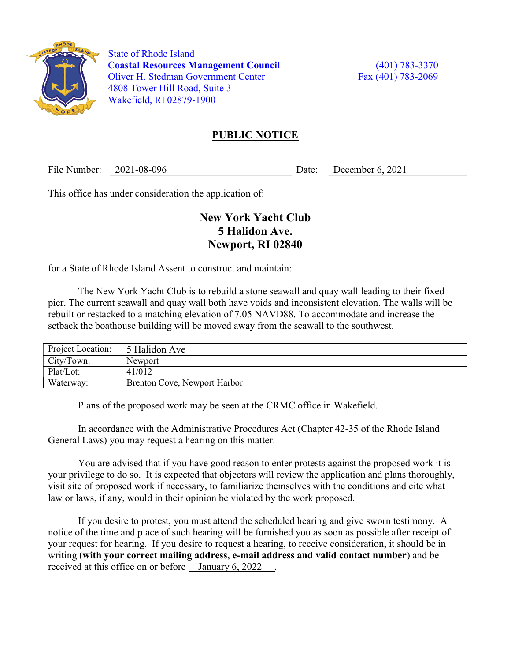

 State of Rhode Island Coastal Resources Management Council (401) 783-3370 Oliver H. Stedman Government Center Fax (401) 783-2069 4808 Tower Hill Road, Suite 3 Wakefield, RI 02879-1900

## PUBLIC NOTICE

File Number: 2021-08-096 Date: December 6, 2021

This office has under consideration the application of:

## New York Yacht Club 5 Halidon Ave. Newport, RI 02840

for a State of Rhode Island Assent to construct and maintain:

 The New York Yacht Club is to rebuild a stone seawall and quay wall leading to their fixed pier. The current seawall and quay wall both have voids and inconsistent elevation. The walls will be rebuilt or restacked to a matching elevation of 7.05 NAVD88. To accommodate and increase the setback the boathouse building will be moved away from the seawall to the southwest.

| Project Location: | 5 Halidon Ave                |
|-------------------|------------------------------|
| City/Town:        | Newport                      |
| Plat/Lot:         | 41/012                       |
| Waterway:         | Brenton Cove, Newport Harbor |

Plans of the proposed work may be seen at the CRMC office in Wakefield.

In accordance with the Administrative Procedures Act (Chapter 42-35 of the Rhode Island General Laws) you may request a hearing on this matter.

You are advised that if you have good reason to enter protests against the proposed work it is your privilege to do so. It is expected that objectors will review the application and plans thoroughly, visit site of proposed work if necessary, to familiarize themselves with the conditions and cite what law or laws, if any, would in their opinion be violated by the work proposed.

If you desire to protest, you must attend the scheduled hearing and give sworn testimony. A notice of the time and place of such hearing will be furnished you as soon as possible after receipt of your request for hearing. If you desire to request a hearing, to receive consideration, it should be in writing (with your correct mailing address, e-mail address and valid contact number) and be received at this office on or before January 6, 2022.